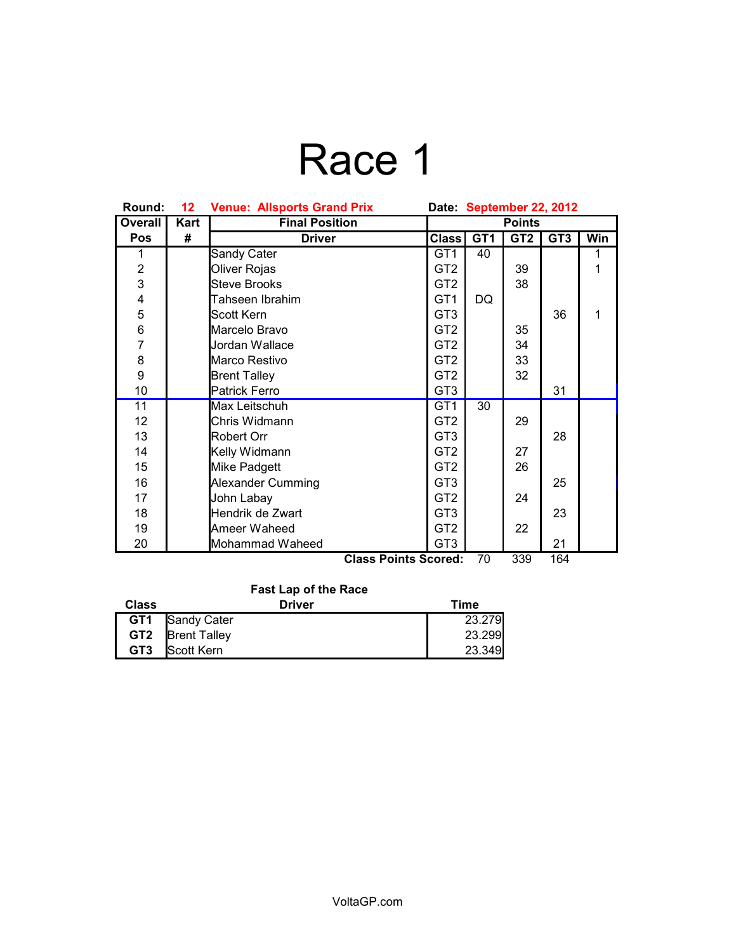# Race 1

| Round:                                          | 12 <sub>2</sub> | <b>Venue: Allsports Grand Prix</b> | Date: September 22, 2012 |                 |                 |                 |     |
|-------------------------------------------------|-----------------|------------------------------------|--------------------------|-----------------|-----------------|-----------------|-----|
| <b>Overall</b>                                  | Kart            | <b>Final Position</b>              | <b>Points</b>            |                 |                 |                 |     |
| Pos                                             | #               | <b>Driver</b>                      | <b>Class</b>             | GT <sub>1</sub> | GT <sub>2</sub> | GT <sub>3</sub> | Win |
| 1                                               |                 | Sandy Cater                        | GT <sub>1</sub>          | 40              |                 |                 | 1   |
| $\frac{2}{3}$                                   |                 | Oliver Rojas                       | GT <sub>2</sub>          |                 | 39              |                 | 1   |
|                                                 |                 | <b>Steve Brooks</b>                | GT <sub>2</sub>          |                 | 38              |                 |     |
| 4                                               |                 | Tahseen Ibrahim                    | GT <sub>1</sub>          | DQ              |                 |                 |     |
| 5                                               |                 | Scott Kern                         | GT <sub>3</sub>          |                 |                 | 36              | 1   |
| 6                                               |                 | Marcelo Bravo                      | GT <sub>2</sub>          |                 | 35              |                 |     |
| $\overline{7}$                                  |                 | Jordan Wallace                     | GT <sub>2</sub>          |                 | 34              |                 |     |
| 8                                               |                 | Marco Restivo                      | GT <sub>2</sub>          |                 | 33              |                 |     |
| 9                                               |                 | <b>Brent Talley</b>                | GT <sub>2</sub>          |                 | 32              |                 |     |
| 10                                              |                 | <b>Patrick Ferro</b>               | GT <sub>3</sub>          |                 |                 | 31              |     |
| 11                                              |                 | Max Leitschuh                      | GT <sub>1</sub>          | 30              |                 |                 |     |
| 12 <sub>2</sub>                                 |                 | Chris Widmann                      | GT <sub>2</sub>          |                 | 29              |                 |     |
| 13                                              |                 | Robert Orr                         | GT <sub>3</sub>          |                 |                 | 28              |     |
| 14                                              |                 | Kelly Widmann                      | GT <sub>2</sub>          |                 | 27              |                 |     |
| 15                                              |                 | Mike Padgett                       | GT <sub>2</sub>          |                 | 26              |                 |     |
| 16                                              |                 | <b>Alexander Cumming</b>           | GT <sub>3</sub>          |                 |                 | 25              |     |
| 17                                              |                 | John Labay                         | GT <sub>2</sub>          |                 | 24              |                 |     |
| 18                                              |                 | Hendrik de Zwart                   | GT <sub>3</sub>          |                 |                 | 23              |     |
| 19                                              |                 | Ameer Waheed                       | GT <sub>2</sub>          |                 | 22              |                 |     |
| 20                                              |                 | Mohammad Waheed                    | GT <sub>3</sub>          |                 |                 | 21              |     |
| 70<br>339<br>164<br><b>Class Points Scored:</b> |                 |                                    |                          |                 |                 |                 |     |

### **Fast Lap of the Race Class Class Driver Driver Time GT1** Sandy Cater 23.279<br> **GT2** Brent Talley 23.299 **GT2** Brent Talley 23.299<br> **GT3** Scott Kern 23.349 **Scott Kern**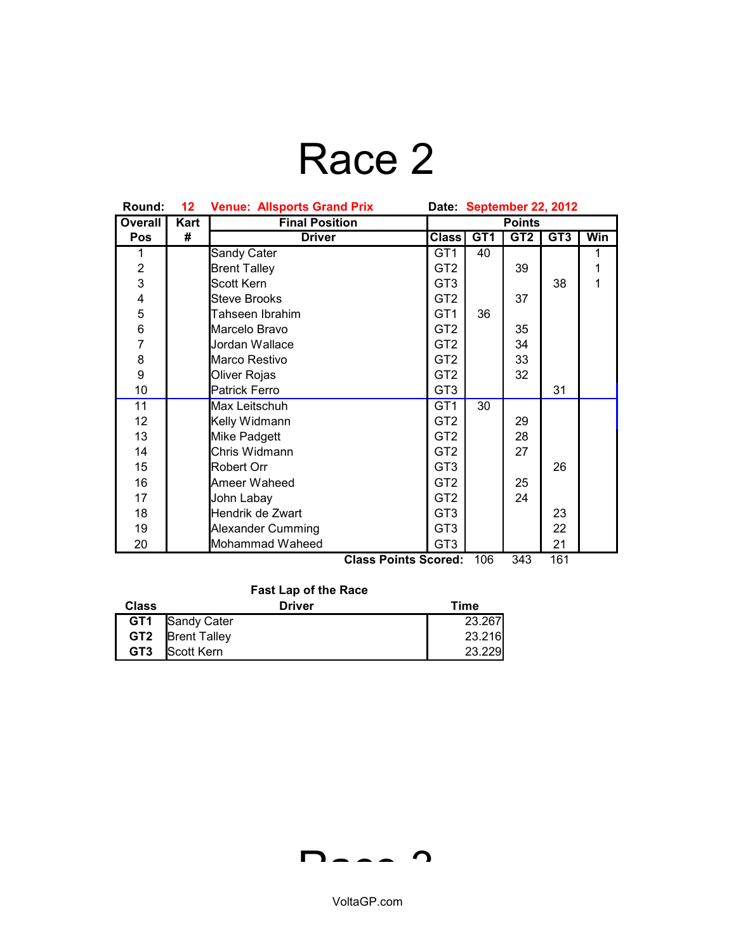# Race 2

| Round:                  | 12 <sub>2</sub> | <b>Venue: Allsports Grand Prix</b> | Date: September 22, 2012 |     |                 |     |            |
|-------------------------|-----------------|------------------------------------|--------------------------|-----|-----------------|-----|------------|
| <b>Overall</b>          | Kart            | <b>Final Position</b>              | <b>Points</b>            |     |                 |     |            |
| Pos                     | #               | <b>Driver</b>                      | <b>Class</b>             | GT1 | GT <sub>2</sub> | GT3 | <b>Win</b> |
| 1                       |                 | Sandy Cater                        | GT <sub>1</sub>          | 40  |                 |     | 1          |
| $\overline{\mathbf{c}}$ |                 | <b>Brent Talley</b>                | GT <sub>2</sub>          |     | 39              |     | 1          |
| $\overline{3}$          |                 | Scott Kern                         | GT <sub>3</sub>          |     |                 | 38  | 1          |
| $\overline{\mathbf{4}}$ |                 | Steve Brooks                       | GT <sub>2</sub>          |     | 37              |     |            |
| 5                       |                 | Tahseen Ibrahim                    | GT <sub>1</sub>          | 36  |                 |     |            |
| 6                       |                 | Marcelo Bravo                      | GT <sub>2</sub>          |     | 35              |     |            |
| $\overline{7}$          |                 | Jordan Wallace                     | GT <sub>2</sub>          |     | 34              |     |            |
| 8                       |                 | Marco Restivo                      | GT <sub>2</sub>          |     | 33              |     |            |
| 9                       |                 | Oliver Rojas                       | GT <sub>2</sub>          |     | 32              |     |            |
| 10                      |                 | <b>Patrick Ferro</b>               | GT <sub>3</sub>          |     |                 | 31  |            |
| 11                      |                 | Max Leitschuh                      | GT <sub>1</sub>          | 30  |                 |     |            |
| 12                      |                 | Kelly Widmann                      | GT <sub>2</sub>          |     | 29              |     |            |
| 13                      |                 | Mike Padgett                       | GT <sub>2</sub>          |     | 28              |     |            |
| 14                      |                 | Chris Widmann                      | GT <sub>2</sub>          |     | 27              |     |            |
| 15                      |                 | Robert Orr                         | GT <sub>3</sub>          |     |                 | 26  |            |
| 16                      |                 | Ameer Waheed                       | GT <sub>2</sub>          |     | 25              |     |            |
| 17                      |                 | John Labay                         | GT <sub>2</sub>          |     | 24              |     |            |
| 18                      |                 | Hendrik de Zwart                   | GT <sub>3</sub>          |     |                 | 23  |            |
| 19                      |                 | Alexander Cumming                  | GT <sub>3</sub>          |     |                 | 22  |            |
| 20                      |                 | Mohammad Waheed                    | GT <sub>3</sub>          |     |                 | 21  |            |
|                         |                 | <b>Class Points Scored:</b>        |                          | 106 | 343             | 161 |            |

|  | $\frac{1}{2}$ | ◡⊤◡ |  |
|--|---------------|-----|--|
|  |               |     |  |
|  |               |     |  |
|  |               |     |  |

### **Fast Lap of the Race**

| <b>Class</b>    | <b>Driver</b>           | Time   |
|-----------------|-------------------------|--------|
|                 | <b>GT1</b> Sandy Cater  | 23.267 |
|                 | <b>GT2 Brent Talley</b> | 23.216 |
| GT <sub>3</sub> | Scott Kern              | 23.229 |

$$
\mathsf{D}\mathsf{L}\mathsf{L}\mathsf{L}\mathsf{D}
$$

VoltaGP.com